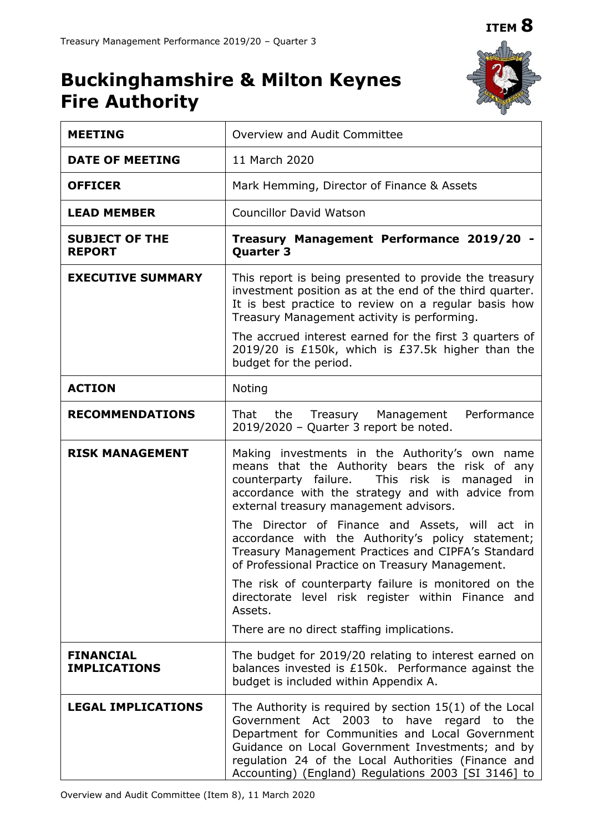# **ITEM 8**

# **Buckinghamshire & Milton Keynes Fire Authority**



| <b>MEETING</b>                          | Overview and Audit Committee                                                                                                                                                                                                                                                                                                         |  |
|-----------------------------------------|--------------------------------------------------------------------------------------------------------------------------------------------------------------------------------------------------------------------------------------------------------------------------------------------------------------------------------------|--|
| <b>DATE OF MEETING</b>                  | 11 March 2020                                                                                                                                                                                                                                                                                                                        |  |
| <b>OFFICER</b>                          | Mark Hemming, Director of Finance & Assets                                                                                                                                                                                                                                                                                           |  |
| <b>LEAD MEMBER</b>                      | <b>Councillor David Watson</b>                                                                                                                                                                                                                                                                                                       |  |
| <b>SUBJECT OF THE</b><br><b>REPORT</b>  | Treasury Management Performance 2019/20 -<br><b>Quarter 3</b>                                                                                                                                                                                                                                                                        |  |
| <b>EXECUTIVE SUMMARY</b>                | This report is being presented to provide the treasury<br>investment position as at the end of the third quarter.<br>It is best practice to review on a regular basis how<br>Treasury Management activity is performing.                                                                                                             |  |
|                                         | The accrued interest earned for the first 3 quarters of<br>2019/20 is £150k, which is £37.5k higher than the<br>budget for the period.                                                                                                                                                                                               |  |
| <b>ACTION</b>                           | Noting                                                                                                                                                                                                                                                                                                                               |  |
| <b>RECOMMENDATIONS</b>                  | Performance<br>That<br>the Treasury Management<br>2019/2020 - Quarter 3 report be noted.                                                                                                                                                                                                                                             |  |
| <b>RISK MANAGEMENT</b>                  | Making investments in the Authority's own name<br>means that the Authority bears the risk of any<br>counterparty failure. This risk is managed<br>in<br>accordance with the strategy and with advice from<br>external treasury management advisors.                                                                                  |  |
|                                         | The Director of Finance and Assets, will act in<br>accordance with the Authority's policy statement;<br>Treasury Management Practices and CIPFA's Standard<br>of Professional Practice on Treasury Management.                                                                                                                       |  |
|                                         | The risk of counterparty failure is monitored on the<br>directorate level risk register within Finance and<br>Assets.                                                                                                                                                                                                                |  |
|                                         | There are no direct staffing implications.                                                                                                                                                                                                                                                                                           |  |
| <b>FINANCIAL</b><br><b>IMPLICATIONS</b> | The budget for 2019/20 relating to interest earned on<br>balances invested is £150k. Performance against the<br>budget is included within Appendix A.                                                                                                                                                                                |  |
| <b>LEGAL IMPLICATIONS</b>               | The Authority is required by section $15(1)$ of the Local<br>Government Act 2003 to<br>have regard<br>the<br>to<br>Department for Communities and Local Government<br>Guidance on Local Government Investments; and by<br>regulation 24 of the Local Authorities (Finance and<br>Accounting) (England) Regulations 2003 [SI 3146] to |  |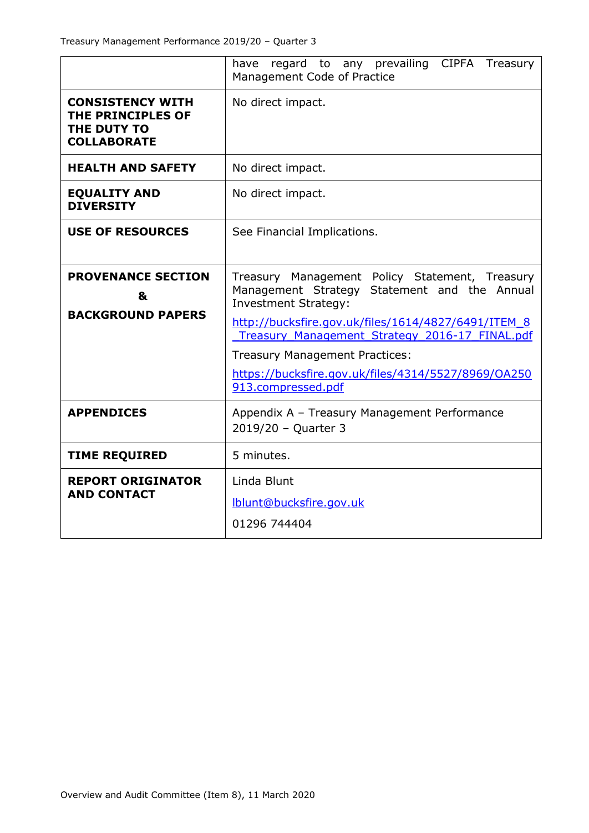|                                                                                   | have regard to any prevailing CIPFA Treasury<br>Management Code of Practice                                                                                                          |  |
|-----------------------------------------------------------------------------------|--------------------------------------------------------------------------------------------------------------------------------------------------------------------------------------|--|
| <b>CONSISTENCY WITH</b><br>THE PRINCIPLES OF<br>THE DUTY TO<br><b>COLLABORATE</b> | No direct impact.                                                                                                                                                                    |  |
| <b>HEALTH AND SAFETY</b>                                                          | No direct impact.                                                                                                                                                                    |  |
| <b>EQUALITY AND</b><br><b>DIVERSITY</b>                                           | No direct impact.                                                                                                                                                                    |  |
| <b>USE OF RESOURCES</b>                                                           | See Financial Implications.                                                                                                                                                          |  |
| <b>PROVENANCE SECTION</b><br>&<br><b>BACKGROUND PAPERS</b>                        | Treasury Management Policy Statement, Treasury<br>Management Strategy Statement and the Annual<br><b>Investment Strategy:</b><br>http://bucksfire.gov.uk/files/1614/4827/6491/ITEM 8 |  |
|                                                                                   | Treasury Management Strategy 2016-17 FINAL.pdf                                                                                                                                       |  |
|                                                                                   | <b>Treasury Management Practices:</b><br>https://bucksfire.gov.uk/files/4314/5527/8969/0A250<br>913.compressed.pdf                                                                   |  |
|                                                                                   |                                                                                                                                                                                      |  |
| <b>APPENDICES</b>                                                                 | Appendix A - Treasury Management Performance<br>2019/20 - Quarter 3                                                                                                                  |  |
| <b>TIME REQUIRED</b>                                                              | 5 minutes.                                                                                                                                                                           |  |
| <b>REPORT ORIGINATOR</b><br><b>AND CONTACT</b>                                    | Linda Blunt                                                                                                                                                                          |  |
|                                                                                   | lblunt@bucksfire.gov.uk                                                                                                                                                              |  |
|                                                                                   | 01296 744404                                                                                                                                                                         |  |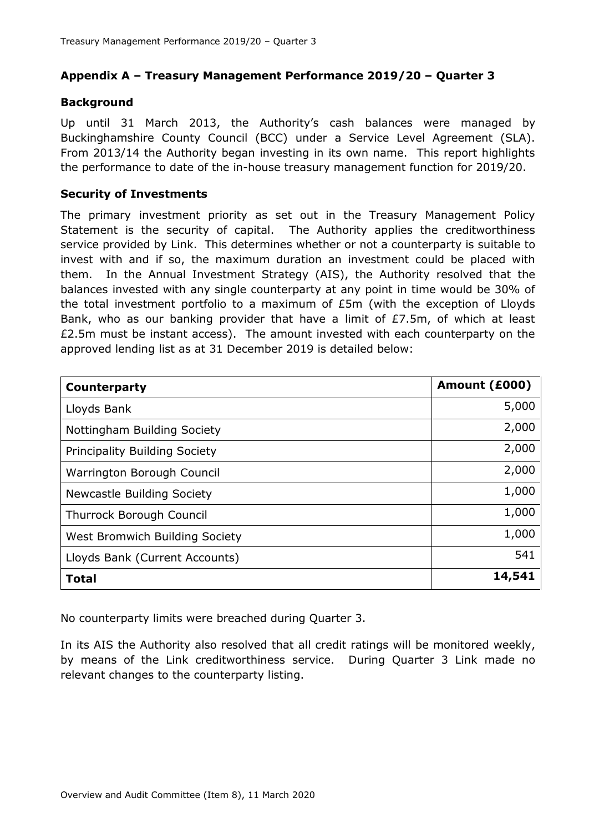# **Appendix A – Treasury Management Performance 2019/20 – Quarter 3**

## **Background**

Up until 31 March 2013, the Authority's cash balances were managed by Buckinghamshire County Council (BCC) under a Service Level Agreement (SLA). From 2013/14 the Authority began investing in its own name. This report highlights the performance to date of the in-house treasury management function for 2019/20.

#### **Security of Investments**

The primary investment priority as set out in the Treasury Management Policy Statement is the security of capital. The Authority applies the creditworthiness service provided by Link. This determines whether or not a counterparty is suitable to invest with and if so, the maximum duration an investment could be placed with them. In the Annual Investment Strategy (AIS), the Authority resolved that the balances invested with any single counterparty at any point in time would be 30% of the total investment portfolio to a maximum of £5m (with the exception of Lloyds Bank, who as our banking provider that have a limit of £7.5m, of which at least £2.5m must be instant access). The amount invested with each counterparty on the approved lending list as at 31 December 2019 is detailed below:

| Counterparty                         | Amount (£000) |
|--------------------------------------|---------------|
| Lloyds Bank                          | 5,000         |
| Nottingham Building Society          | 2,000         |
| <b>Principality Building Society</b> | 2,000         |
| Warrington Borough Council           | 2,000         |
| Newcastle Building Society           | 1,000         |
| Thurrock Borough Council             | 1,000         |
| West Bromwich Building Society       | 1,000         |
| Lloyds Bank (Current Accounts)       | 541           |
| <b>Total</b>                         | 14,541        |

No counterparty limits were breached during Quarter 3.

In its AIS the Authority also resolved that all credit ratings will be monitored weekly, by means of the Link creditworthiness service. During Quarter 3 Link made no relevant changes to the counterparty listing.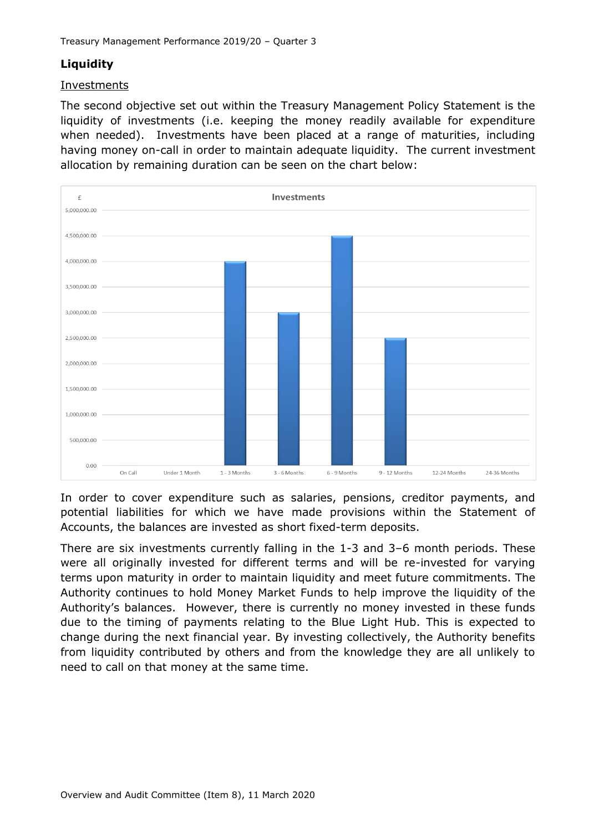# **Liquidity**

#### Investments

The second objective set out within the Treasury Management Policy Statement is the liquidity of investments (i.e. keeping the money readily available for expenditure when needed). Investments have been placed at a range of maturities, including having money on-call in order to maintain adequate liquidity. The current investment allocation by remaining duration can be seen on the chart below:



In order to cover expenditure such as salaries, pensions, creditor payments, and potential liabilities for which we have made provisions within the Statement of Accounts, the balances are invested as short fixed-term deposits.

There are six investments currently falling in the 1-3 and 3–6 month periods. These were all originally invested for different terms and will be re-invested for varying terms upon maturity in order to maintain liquidity and meet future commitments. The Authority continues to hold Money Market Funds to help improve the liquidity of the Authority's balances. However, there is currently no money invested in these funds due to the timing of payments relating to the Blue Light Hub. This is expected to change during the next financial year. By investing collectively, the Authority benefits from liquidity contributed by others and from the knowledge they are all unlikely to need to call on that money at the same time.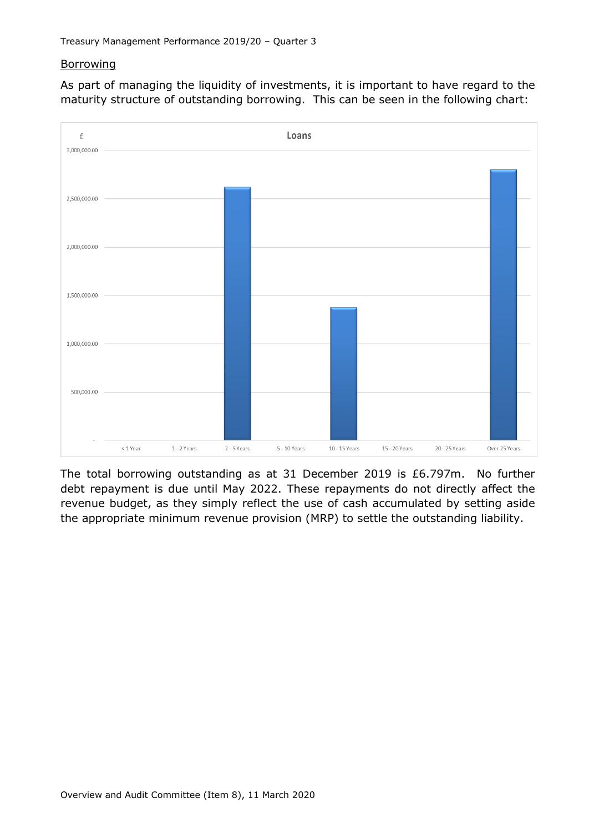# **Borrowing**

As part of managing the liquidity of investments, it is important to have regard to the maturity structure of outstanding borrowing. This can be seen in the following chart:



The total borrowing outstanding as at 31 December 2019 is £6.797m. No further debt repayment is due until May 2022. These repayments do not directly affect the revenue budget, as they simply reflect the use of cash accumulated by setting aside the appropriate minimum revenue provision (MRP) to settle the outstanding liability.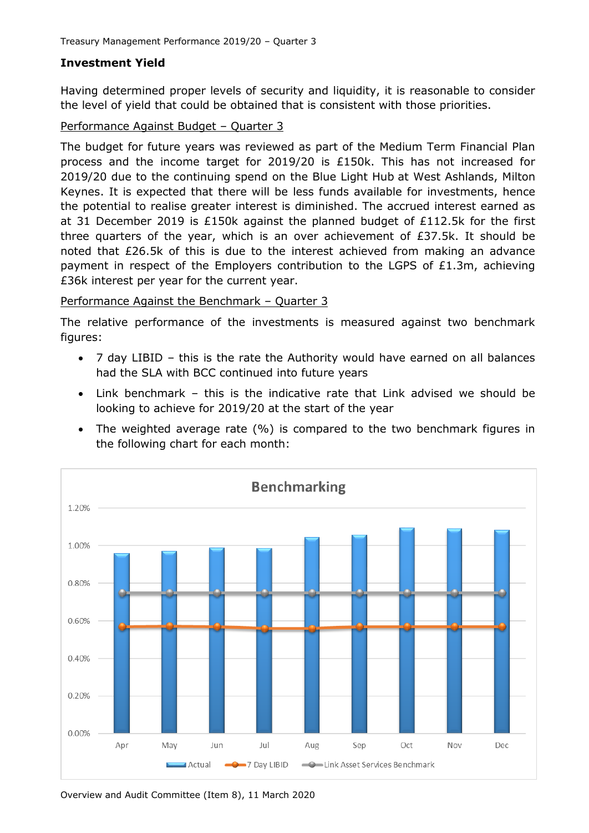# **Investment Yield**

Having determined proper levels of security and liquidity, it is reasonable to consider the level of yield that could be obtained that is consistent with those priorities.

## Performance Against Budget – Quarter 3

The budget for future years was reviewed as part of the Medium Term Financial Plan process and the income target for 2019/20 is £150k. This has not increased for 2019/20 due to the continuing spend on the Blue Light Hub at West Ashlands, Milton Keynes. It is expected that there will be less funds available for investments, hence the potential to realise greater interest is diminished. The accrued interest earned as at 31 December 2019 is £150k against the planned budget of £112.5k for the first three quarters of the year, which is an over achievement of  $E37.5k$ . It should be noted that £26.5k of this is due to the interest achieved from making an advance payment in respect of the Employers contribution to the LGPS of £1.3m, achieving £36k interest per year for the current year.

# Performance Against the Benchmark – Quarter 3

The relative performance of the investments is measured against two benchmark figures:

- 7 day LIBID this is the rate the Authority would have earned on all balances had the SLA with BCC continued into future years
- Link benchmark this is the indicative rate that Link advised we should be looking to achieve for 2019/20 at the start of the year
- The weighted average rate (%) is compared to the two benchmark figures in the following chart for each month:



Overview and Audit Committee (Item 8), 11 March 2020